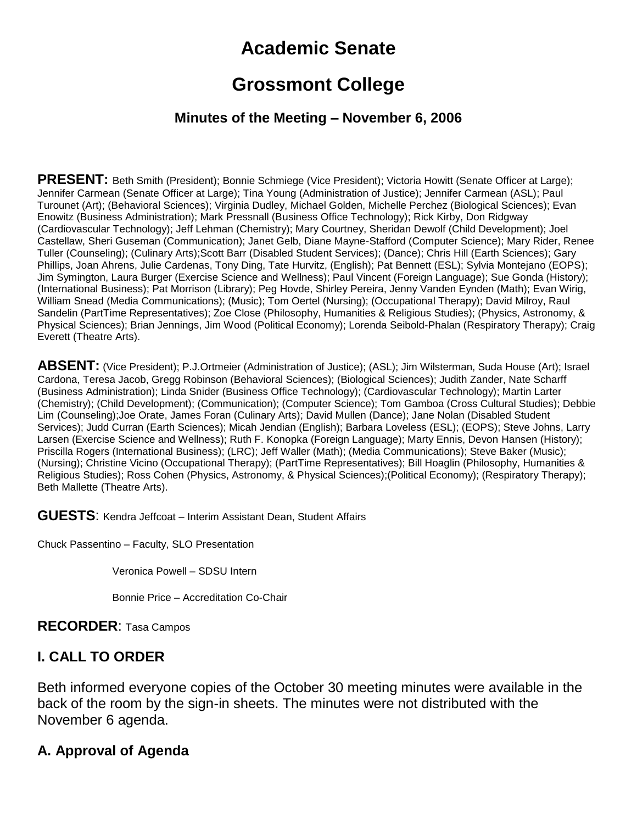# **Academic Senate**

# **Grossmont College**

#### **Minutes of the Meeting – November 6, 2006**

**PRESENT:** Beth Smith (President); Bonnie Schmiege (Vice President); Victoria Howitt (Senate Officer at Large); Jennifer Carmean (Senate Officer at Large); Tina Young (Administration of Justice); Jennifer Carmean (ASL); Paul Turounet (Art); (Behavioral Sciences); Virginia Dudley, Michael Golden, Michelle Perchez (Biological Sciences); Evan Enowitz (Business Administration); Mark Pressnall (Business Office Technology); Rick Kirby, Don Ridgway (Cardiovascular Technology); Jeff Lehman (Chemistry); Mary Courtney, Sheridan Dewolf (Child Development); Joel Castellaw, Sheri Guseman (Communication); Janet Gelb, Diane Mayne-Stafford (Computer Science); Mary Rider, Renee Tuller (Counseling); (Culinary Arts);Scott Barr (Disabled Student Services); (Dance); Chris Hill (Earth Sciences); Gary Phillips, Joan Ahrens, Julie Cardenas, Tony Ding, Tate Hurvitz, (English); Pat Bennett (ESL); Sylvia Montejano (EOPS); Jim Symington, Laura Burger (Exercise Science and Wellness); Paul Vincent (Foreign Language); Sue Gonda (History); (International Business); Pat Morrison (Library); Peg Hovde, Shirley Pereira, Jenny Vanden Eynden (Math); Evan Wirig, William Snead (Media Communications); (Music); Tom Oertel (Nursing); (Occupational Therapy); David Milroy, Raul Sandelin (PartTime Representatives); Zoe Close (Philosophy, Humanities & Religious Studies); (Physics, Astronomy, & Physical Sciences); Brian Jennings, Jim Wood (Political Economy); Lorenda Seibold-Phalan (Respiratory Therapy); Craig Everett (Theatre Arts).

**ABSENT:** (Vice President); P.J.Ortmeier (Administration of Justice); (ASL); Jim Wilsterman, Suda House (Art); Israel Cardona, Teresa Jacob, Gregg Robinson (Behavioral Sciences); (Biological Sciences); Judith Zander, Nate Scharff (Business Administration); Linda Snider (Business Office Technology); (Cardiovascular Technology); Martin Larter (Chemistry); (Child Development); (Communication); (Computer Science); Tom Gamboa (Cross Cultural Studies); Debbie Lim (Counseling);Joe Orate, James Foran (Culinary Arts); David Mullen (Dance); Jane Nolan (Disabled Student Services); Judd Curran (Earth Sciences); Micah Jendian (English); Barbara Loveless (ESL); (EOPS); Steve Johns, Larry Larsen (Exercise Science and Wellness); Ruth F. Konopka (Foreign Language); Marty Ennis, Devon Hansen (History); Priscilla Rogers (International Business); (LRC); Jeff Waller (Math); (Media Communications); Steve Baker (Music); (Nursing); Christine Vicino (Occupational Therapy); (PartTime Representatives); Bill Hoaglin (Philosophy, Humanities & Religious Studies); Ross Cohen (Physics, Astronomy, & Physical Sciences);(Political Economy); (Respiratory Therapy); Beth Mallette (Theatre Arts).

**GUESTS**: Kendra Jeffcoat – Interim Assistant Dean, Student Affairs

Chuck Passentino – Faculty, SLO Presentation

Veronica Powell – SDSU Intern

Bonnie Price – Accreditation Co-Chair

**RECORDER**: Tasa Campos

## **I. CALL TO ORDER**

Beth informed everyone copies of the October 30 meeting minutes were available in the back of the room by the sign-in sheets. The minutes were not distributed with the November 6 agenda.

## **A. Approval of Agenda**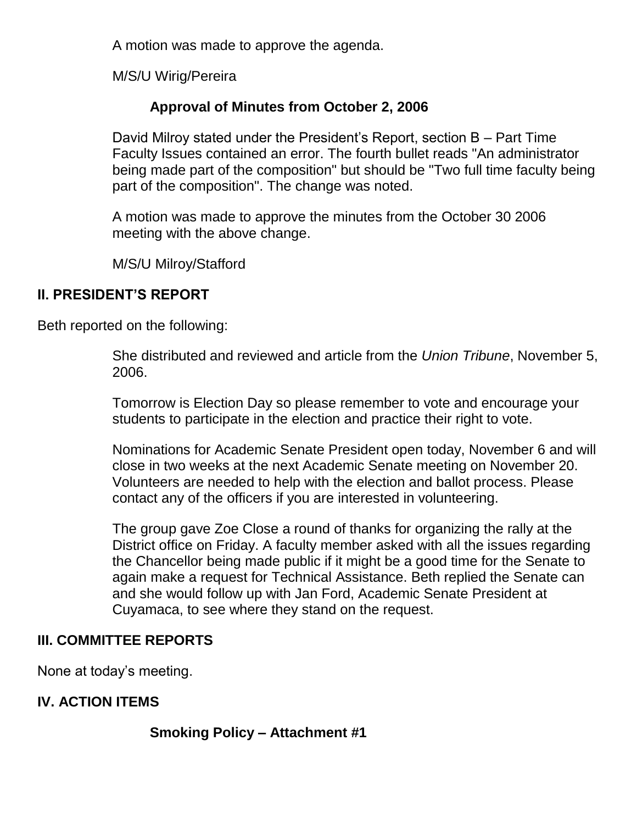A motion was made to approve the agenda.

M/S/U Wirig/Pereira

## **Approval of Minutes from October 2, 2006**

David Milroy stated under the President's Report, section B – Part Time Faculty Issues contained an error. The fourth bullet reads "An administrator being made part of the composition" but should be "Two full time faculty being part of the composition". The change was noted.

A motion was made to approve the minutes from the October 30 2006 meeting with the above change.

M/S/U Milroy/Stafford

### **II. PRESIDENT'S REPORT**

Beth reported on the following:

She distributed and reviewed and article from the *Union Tribune*, November 5, 2006.

Tomorrow is Election Day so please remember to vote and encourage your students to participate in the election and practice their right to vote.

Nominations for Academic Senate President open today, November 6 and will close in two weeks at the next Academic Senate meeting on November 20. Volunteers are needed to help with the election and ballot process. Please contact any of the officers if you are interested in volunteering.

The group gave Zoe Close a round of thanks for organizing the rally at the District office on Friday. A faculty member asked with all the issues regarding the Chancellor being made public if it might be a good time for the Senate to again make a request for Technical Assistance. Beth replied the Senate can and she would follow up with Jan Ford, Academic Senate President at Cuyamaca, to see where they stand on the request.

## **III. COMMITTEE REPORTS**

None at today's meeting.

## **IV. ACTION ITEMS**

**Smoking Policy – Attachment #1**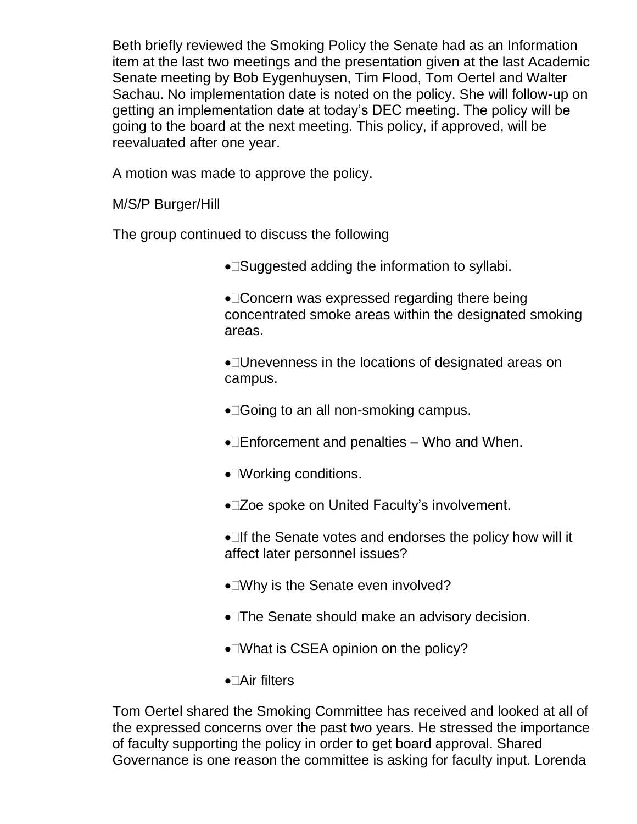Beth briefly reviewed the Smoking Policy the Senate had as an Information item at the last two meetings and the presentation given at the last Academic Senate meeting by Bob Eygenhuysen, Tim Flood, Tom Oertel and Walter Sachau. No implementation date is noted on the policy. She will follow-up on getting an implementation date at today's DEC meeting. The policy will be going to the board at the next meeting. This policy, if approved, will be reevaluated after one year.

A motion was made to approve the policy.

M/S/P Burger/Hill

The group continued to discuss the following

• Suggested adding the information to syllabi.

•□ Concern was expressed regarding there being concentrated smoke areas within the designated smoking areas.

Unevenness in the locations of designated areas on campus.

- •□Going to an all non-smoking campus.
- $\bullet$  Enforcement and penalties Who and When.
- ●□Working conditions.
- Zoe spoke on United Faculty's involvement.

 $\bullet$  If the Senate votes and endorses the policy how will it affect later personnel issues?

- Why is the Senate even involved?
- The Senate should make an advisory decision.
- ■What is CSEA opinion on the policy?
- Air filters

Tom Oertel shared the Smoking Committee has received and looked at all of the expressed concerns over the past two years. He stressed the importance of faculty supporting the policy in order to get board approval. Shared Governance is one reason the committee is asking for faculty input. Lorenda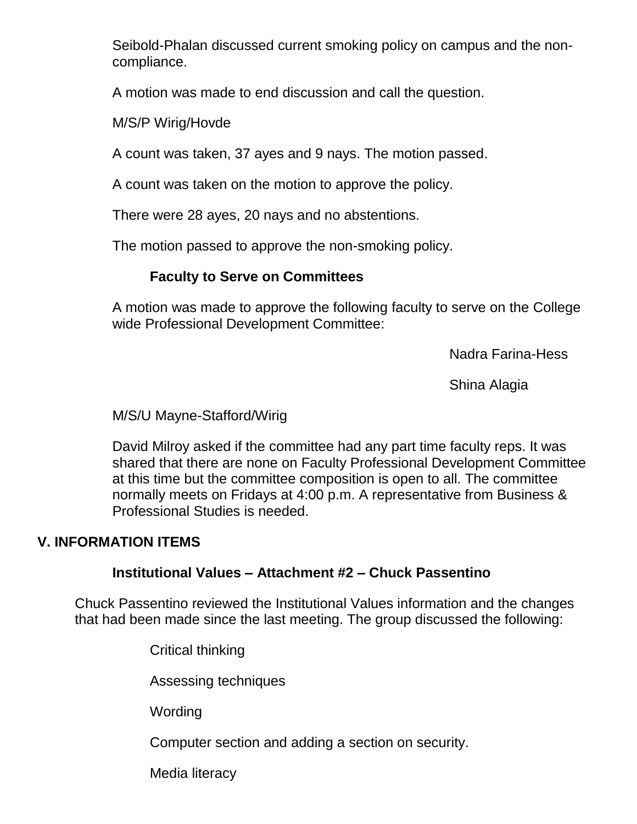Seibold-Phalan discussed current smoking policy on campus and the noncompliance.

A motion was made to end discussion and call the question.

M/S/P Wirig/Hovde

A count was taken, 37 ayes and 9 nays. The motion passed.

A count was taken on the motion to approve the policy.

There were 28 ayes, 20 nays and no abstentions.

The motion passed to approve the non-smoking policy.

#### **Faculty to Serve on Committees**

A motion was made to approve the following faculty to serve on the College wide Professional Development Committee:

Nadra Farina-Hess

Shina Alagia

M/S/U Mayne-Stafford/Wirig

David Milroy asked if the committee had any part time faculty reps. It was shared that there are none on Faculty Professional Development Committee at this time but the committee composition is open to all. The committee normally meets on Fridays at 4:00 p.m. A representative from Business & Professional Studies is needed.

#### **V. INFORMATION ITEMS**

#### **Institutional Values – Attachment #2 – Chuck Passentino**

Chuck Passentino reviewed the Institutional Values information and the changes that had been made since the last meeting. The group discussed the following:

Critical thinking

Assessing techniques

**Wording** 

Computer section and adding a section on security.

Media literacy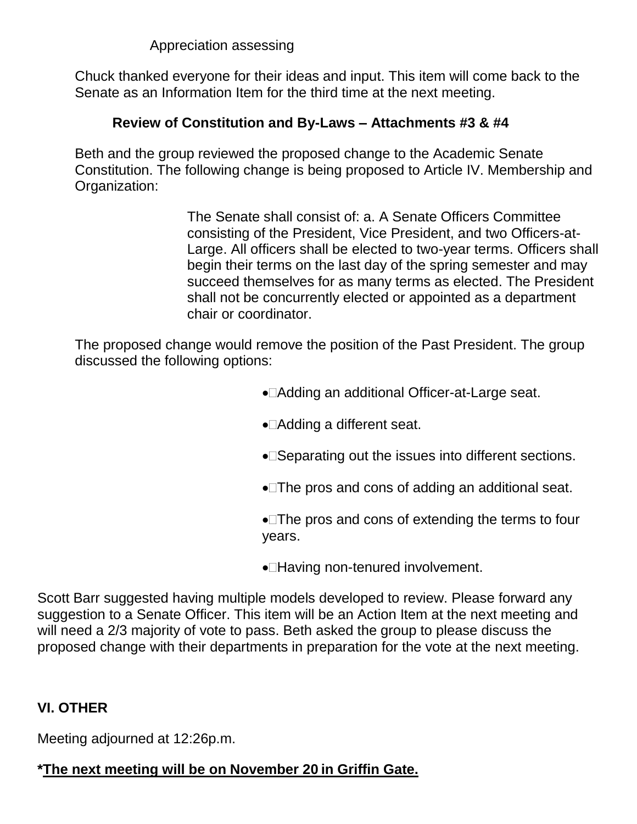Appreciation assessing

Chuck thanked everyone for their ideas and input. This item will come back to the Senate as an Information Item for the third time at the next meeting.

## **Review of Constitution and By-Laws – Attachments #3 & #4**

Beth and the group reviewed the proposed change to the Academic Senate Constitution. The following change is being proposed to Article IV. Membership and Organization:

> The Senate shall consist of: a. A Senate Officers Committee consisting of the President, Vice President, and two Officers-at-Large. All officers shall be elected to two-year terms. Officers shall begin their terms on the last day of the spring semester and may succeed themselves for as many terms as elected. The President shall not be concurrently elected or appointed as a department chair or coordinator.

The proposed change would remove the position of the Past President. The group discussed the following options:

- Adding an additional Officer-at-Large seat.
- ●□Adding a different seat.
- Separating out the issues into different sections.
- The pros and cons of adding an additional seat.
- •□The pros and cons of extending the terms to four years.
- •**Having non-tenured involvement.**

Scott Barr suggested having multiple models developed to review. Please forward any suggestion to a Senate Officer. This item will be an Action Item at the next meeting and will need a 2/3 majority of vote to pass. Beth asked the group to please discuss the proposed change with their departments in preparation for the vote at the next meeting.

## **VI. OTHER**

Meeting adjourned at 12:26p.m.

## **\*The next meeting will be on November 20 in Griffin Gate.**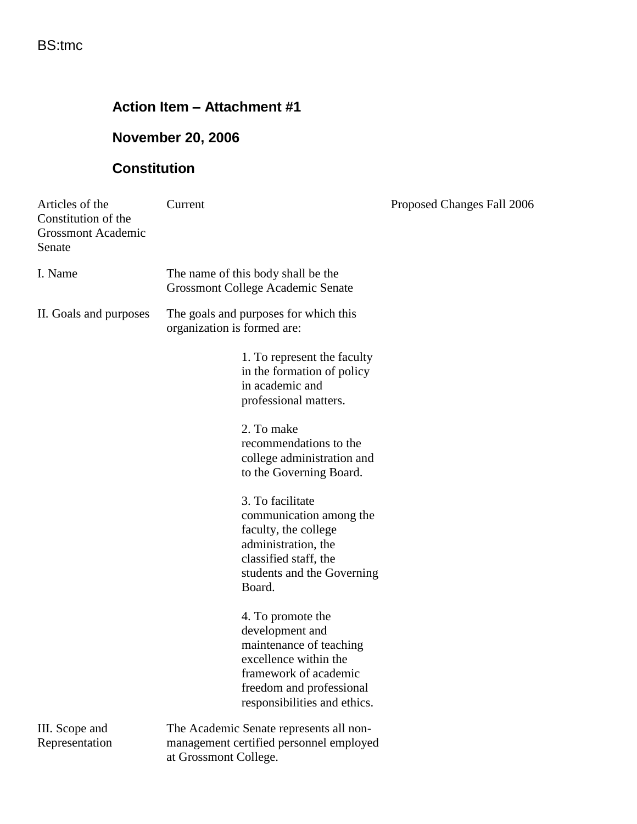## **Action Item – Attachment #1**

## **November 20, 2006**

## **Constitution**

| Articles of the<br>Constitution of the<br><b>Grossmont Academic</b><br>Senate | Current                                                                                                                                                                       | Proposed Changes Fall 2006 |
|-------------------------------------------------------------------------------|-------------------------------------------------------------------------------------------------------------------------------------------------------------------------------|----------------------------|
| I. Name                                                                       | The name of this body shall be the<br><b>Grossmont College Academic Senate</b>                                                                                                |                            |
| II. Goals and purposes                                                        | The goals and purposes for which this<br>organization is formed are:                                                                                                          |                            |
|                                                                               | 1. To represent the faculty<br>in the formation of policy<br>in academic and<br>professional matters.                                                                         |                            |
|                                                                               | 2. To make<br>recommendations to the<br>college administration and<br>to the Governing Board.                                                                                 |                            |
|                                                                               | 3. To facilitate<br>communication among the<br>faculty, the college<br>administration, the<br>classified staff, the<br>students and the Governing<br>Board.                   |                            |
|                                                                               | 4. To promote the<br>development and<br>maintenance of teaching<br>excellence within the<br>framework of academic<br>freedom and professional<br>responsibilities and ethics. |                            |
| III. Scope and<br>Representation                                              | The Academic Senate represents all non-<br>management certified personnel employed<br>at Grossmont College.                                                                   |                            |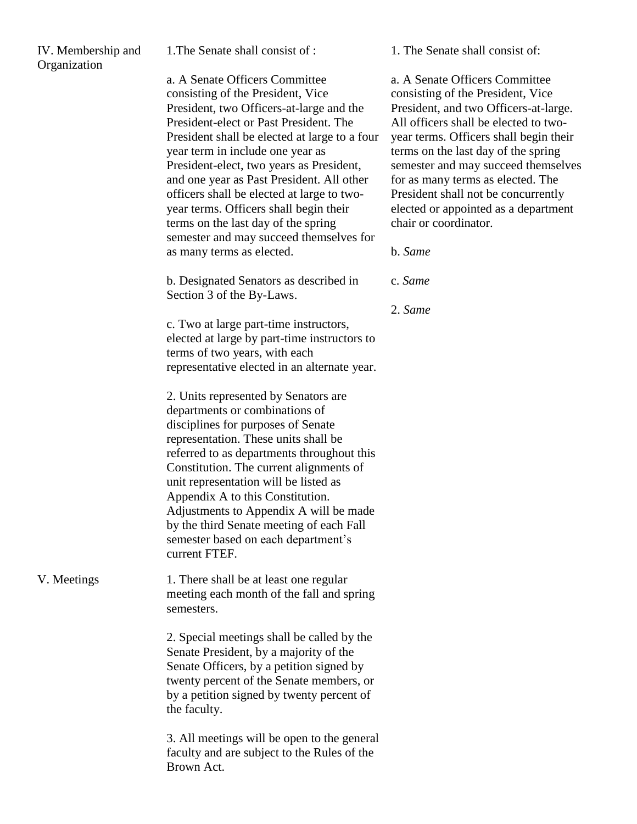| IV. Membership and<br>Organization | 1. The Senate shall consist of :                                                                                                                                                                                                                                                                                                                                                                                                                                                                                                               | 1. The Senate shall consist of:                                                                                                                                                                                                                                                                                                                                                                                                       |
|------------------------------------|------------------------------------------------------------------------------------------------------------------------------------------------------------------------------------------------------------------------------------------------------------------------------------------------------------------------------------------------------------------------------------------------------------------------------------------------------------------------------------------------------------------------------------------------|---------------------------------------------------------------------------------------------------------------------------------------------------------------------------------------------------------------------------------------------------------------------------------------------------------------------------------------------------------------------------------------------------------------------------------------|
|                                    | a. A Senate Officers Committee<br>consisting of the President, Vice<br>President, two Officers-at-large and the<br>President-elect or Past President. The<br>President shall be elected at large to a four<br>year term in include one year as<br>President-elect, two years as President,<br>and one year as Past President. All other<br>officers shall be elected at large to two-<br>year terms. Officers shall begin their<br>terms on the last day of the spring<br>semester and may succeed themselves for<br>as many terms as elected. | a. A Senate Officers Committee<br>consisting of the President, Vice<br>President, and two Officers-at-large.<br>All officers shall be elected to two-<br>year terms. Officers shall begin their<br>terms on the last day of the spring<br>semester and may succeed themselves<br>for as many terms as elected. The<br>President shall not be concurrently<br>elected or appointed as a department<br>chair or coordinator.<br>b. Same |
|                                    | b. Designated Senators as described in<br>Section 3 of the By-Laws.                                                                                                                                                                                                                                                                                                                                                                                                                                                                            | c. Same                                                                                                                                                                                                                                                                                                                                                                                                                               |
|                                    | c. Two at large part-time instructors,                                                                                                                                                                                                                                                                                                                                                                                                                                                                                                         | 2. Same                                                                                                                                                                                                                                                                                                                                                                                                                               |
|                                    | elected at large by part-time instructors to<br>terms of two years, with each<br>representative elected in an alternate year.                                                                                                                                                                                                                                                                                                                                                                                                                  |                                                                                                                                                                                                                                                                                                                                                                                                                                       |
|                                    | 2. Units represented by Senators are<br>departments or combinations of<br>disciplines for purposes of Senate<br>representation. These units shall be<br>referred to as departments throughout this<br>Constitution. The current alignments of<br>unit representation will be listed as<br>Appendix A to this Constitution.<br>Adjustments to Appendix A will be made<br>by the third Senate meeting of each Fall<br>semester based on each department's<br>current FTEF.                                                                       |                                                                                                                                                                                                                                                                                                                                                                                                                                       |
| V. Meetings                        | 1. There shall be at least one regular<br>meeting each month of the fall and spring<br>semesters.                                                                                                                                                                                                                                                                                                                                                                                                                                              |                                                                                                                                                                                                                                                                                                                                                                                                                                       |
|                                    | 2. Special meetings shall be called by the<br>Senate President, by a majority of the<br>Senate Officers, by a petition signed by<br>twenty percent of the Senate members, or<br>by a petition signed by twenty percent of<br>the faculty.                                                                                                                                                                                                                                                                                                      |                                                                                                                                                                                                                                                                                                                                                                                                                                       |
|                                    | 3. All meetings will be open to the general<br>faculty and are subject to the Rules of the<br>Brown Act.                                                                                                                                                                                                                                                                                                                                                                                                                                       |                                                                                                                                                                                                                                                                                                                                                                                                                                       |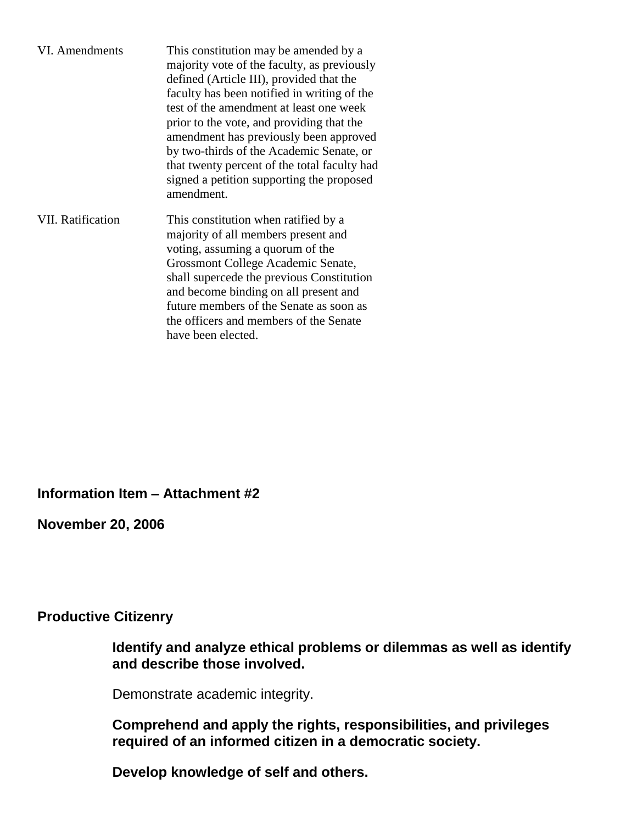| VI. Amendments           | This constitution may be amended by a<br>majority vote of the faculty, as previously<br>defined (Article III), provided that the<br>faculty has been notified in writing of the<br>test of the amendment at least one week<br>prior to the vote, and providing that the<br>amendment has previously been approved<br>by two-thirds of the Academic Senate, or<br>that twenty percent of the total faculty had<br>signed a petition supporting the proposed<br>amendment. |
|--------------------------|--------------------------------------------------------------------------------------------------------------------------------------------------------------------------------------------------------------------------------------------------------------------------------------------------------------------------------------------------------------------------------------------------------------------------------------------------------------------------|
| <b>VII. Ratification</b> | This constitution when ratified by a<br>majority of all members present and<br>voting, assuming a quorum of the<br>Grossmont College Academic Senate,<br>shall supercede the previous Constitution<br>and become binding on all present and<br>future members of the Senate as soon as<br>the officers and members of the Senate<br>have been elected.                                                                                                                   |

**Information Item – Attachment #2**

**November 20, 2006**

#### **Productive Citizenry**

**Identify and analyze ethical problems or dilemmas as well as identify and describe those involved.**

Demonstrate academic integrity.

**Comprehend and apply the rights, responsibilities, and privileges required of an informed citizen in a democratic society.**

**Develop knowledge of self and others.**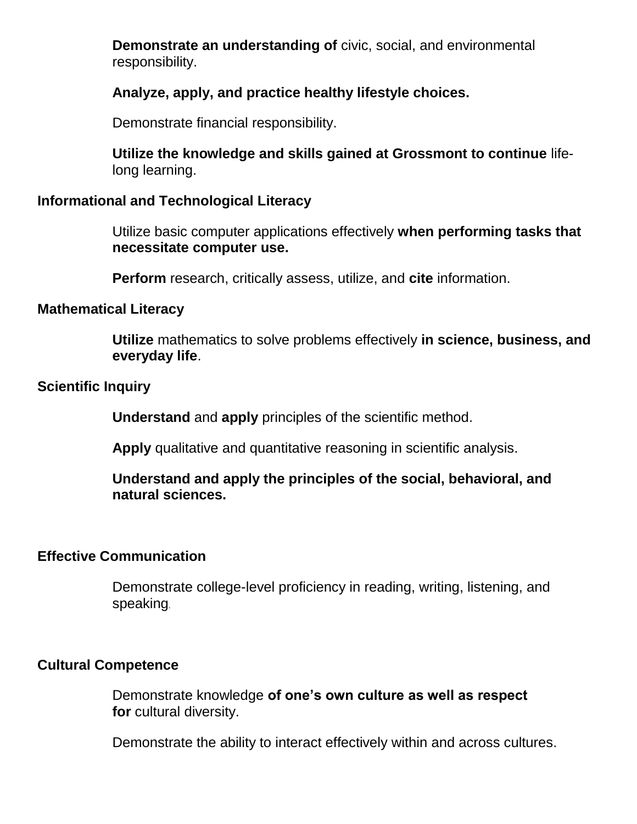**Demonstrate an understanding of** civic, social, and environmental responsibility.

#### **Analyze, apply, and practice healthy lifestyle choices.**

Demonstrate financial responsibility.

**Utilize the knowledge and skills gained at Grossmont to continue** lifelong learning.

#### **Informational and Technological Literacy**

Utilize basic computer applications effectively **when performing tasks that necessitate computer use.**

**Perform** research, critically assess, utilize, and **cite** information.

#### **Mathematical Literacy**

**Utilize** mathematics to solve problems effectively **in science, business, and everyday life**.

#### **Scientific Inquiry**

**Understand** and **apply** principles of the scientific method.

**Apply** qualitative and quantitative reasoning in scientific analysis.

**Understand and apply the principles of the social, behavioral, and natural sciences.**

#### **Effective Communication**

Demonstrate college-level proficiency in reading, writing, listening, and speaking.

#### **Cultural Competence**

Demonstrate knowledge **of one's own culture as well as respect for** cultural diversity.

Demonstrate the ability to interact effectively within and across cultures.